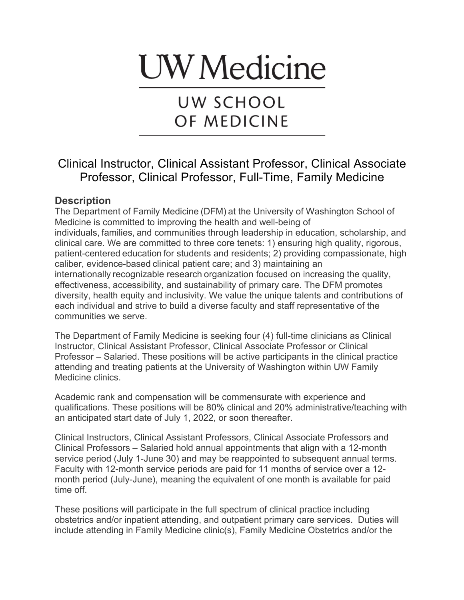# **UW** Medicine

## UW SCHOOL OF MEDICINE

### Clinical Instructor, Clinical Assistant Professor, Clinical Associate Professor, Clinical Professor, Full-Time, Family Medicine

#### **Description**

The Department of Family Medicine (DFM) at the University of Washington School of Medicine is committed to improving the health and well-being of individuals, families, and communities through leadership in education, scholarship, and clinical care. We are committed to three core tenets: 1) ensuring high quality, rigorous, patient-centered education for students and residents; 2) providing compassionate, high caliber, evidence-based clinical patient care; and 3) maintaining an internationally recognizable research organization focused on increasing the quality, effectiveness, accessibility, and sustainability of primary care. The DFM promotes diversity, health equity and inclusivity. We value the unique talents and contributions of each individual and strive to build a diverse faculty and staff representative of the communities we serve.

The Department of Family Medicine is seeking four (4) full-time clinicians as Clinical Instructor, Clinical Assistant Professor, Clinical Associate Professor or Clinical Professor – Salaried. These positions will be active participants in the clinical practice attending and treating patients at the University of Washington within UW Family Medicine clinics.

Academic rank and compensation will be commensurate with experience and qualifications. These positions will be 80% clinical and 20% administrative/teaching with an anticipated start date of July 1, 2022, or soon thereafter.

Clinical Instructors, Clinical Assistant Professors, Clinical Associate Professors and Clinical Professors – Salaried hold annual appointments that align with a 12-month service period (July 1-June 30) and may be reappointed to subsequent annual terms. Faculty with 12-month service periods are paid for 11 months of service over a 12 month period (July-June), meaning the equivalent of one month is available for paid time off.

These positions will participate in the full spectrum of clinical practice including obstetrics and/or inpatient attending, and outpatient primary care services. Duties will include attending in Family Medicine clinic(s), Family Medicine Obstetrics and/or the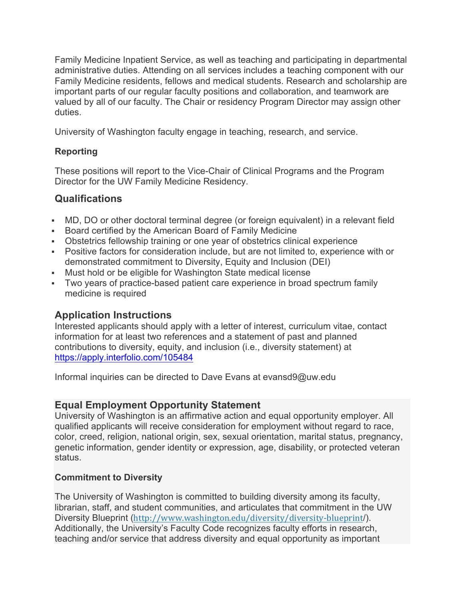Family Medicine Inpatient Service, as well as teaching and participating in departmental administrative duties. Attending on all services includes a teaching component with our Family Medicine residents, fellows and medical students. Research and scholarship are important parts of our regular faculty positions and collaboration, and teamwork are valued by all of our faculty. The Chair or residency Program Director may assign other duties.

University of Washington faculty engage in teaching, research, and service.

#### **Reporting**

These positions will report to the Vice-Chair of Clinical Programs and the Program Director for the UW Family Medicine Residency.

#### **Qualifications**

- MD, DO or other doctoral terminal degree (or foreign equivalent) in a relevant field
- § Board certified by the American Board of Family Medicine
- Obstetrics fellowship training or one year of obstetrics clinical experience
- § Positive factors for consideration include, but are not limited to, experience with or demonstrated commitment to Diversity, Equity and Inclusion (DEI)
- Must hold or be eligible for Washington State medical license
- Two years of practice-based patient care experience in broad spectrum family medicine is required

#### **Application Instructions**

Interested applicants should apply with a letter of interest, curriculum vitae, contact information for at least two references and a statement of past and planned contributions to diversity, equity, and inclusion (i.e., diversity statement) at https://apply.interfolio.com/105484

Informal inquiries can be directed to Dave Evans at evansd9@uw.edu

#### **Equal Employment Opportunity Statement**

University of Washington is an affirmative action and equal opportunity employer. All qualified applicants will receive consideration for employment without regard to race, color, creed, religion, national origin, sex, sexual orientation, marital status, pregnancy, genetic information, gender identity or expression, age, disability, or protected veteran status.

#### **Commitment to Diversity**

The University of Washington is committed to building diversity among its faculty, librarian, staff, and student communities, and articulates that commitment in the UW Diversity Blueprint (http://www.washington.edu/diversity/diversity-blueprint/). Additionally, the University's Faculty Code recognizes faculty efforts in research, teaching and/or service that address diversity and equal opportunity as important